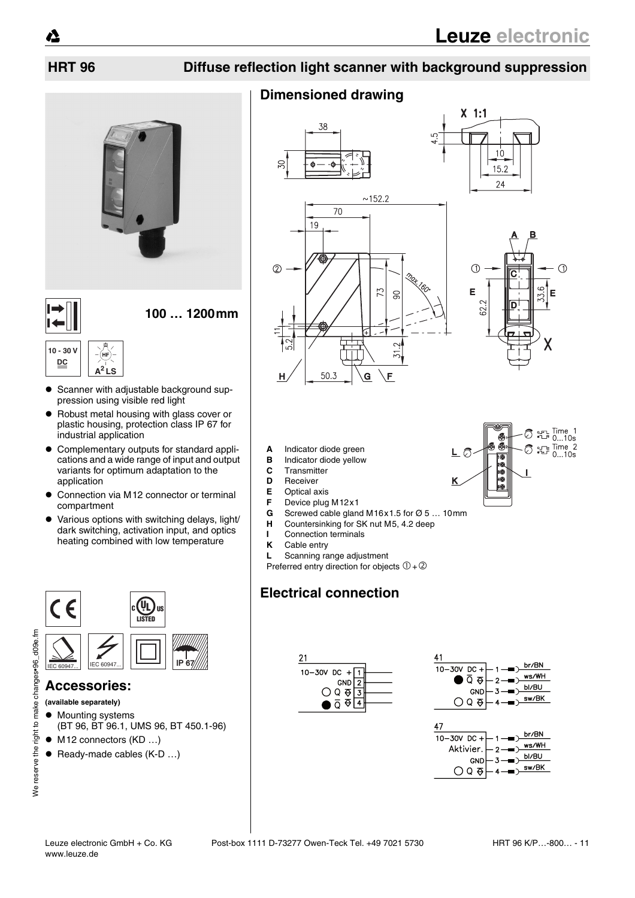$\odot$ 

G

33.

E

Χ

 $\bigcirc$  and Time 1<br> $\bigcirc$  and  $\bigcirc$  ...10s  $\bigcirc$   $\bigcirc$   $\bigcirc$  Time 2<br>0...10s

## **HRT 96 Diffuse reflection light scanner with background suppression**



**100 … 1200mm**

#### **10 - 30 V DC A2 LS**

- Scanner with adjustable background suppression using visible red light
- ! Robust metal housing with glass cover or plastic housing, protection class IP 67 for industrial application
- $\bullet$  Complementary outputs for standard applications and a wide range of input and output variants for optimum adaptation to the application
- $\bullet$  Connection via M12 connector or terminal compartment
- ! Various options with switching delays, light/ dark switching, activation input, and optics heating combined with low temperature



### **Accessories:**

- **(available separately)**
- $\bullet$  Mounting systems (BT 96, BT 96.1, UMS 96, BT 450.1-96)
- $\bullet$  M12 connectors (KD ...)
- $\bullet$  Ready-made cables (K-D ...)

## **Dimensioned drawing**



- **A** Indicator diode green
- **B** Indicator diode yellow
- **C** Transmitter
- **D** Receiver<br>**E** Optical at
- **E** Optical axis
- **F** Device plug M12x1<br>**G** Screwed cable glan
- **G** Screwed cable gland M16x1.5 for Ø 5 ... 10mm<br>**H** Countersinking for SK nut M5, 4.2 deep
- **H** Countersinking for SK nut M5, 4.2 deep
- **I** Connection terminals<br>**K** Cable entry
- **Cable entry**
- **L** Scanning range adjustment

Preferred entry direction for objects  $(1 + 2)$ 

## **Electrical connection**





10<br>10<br>10